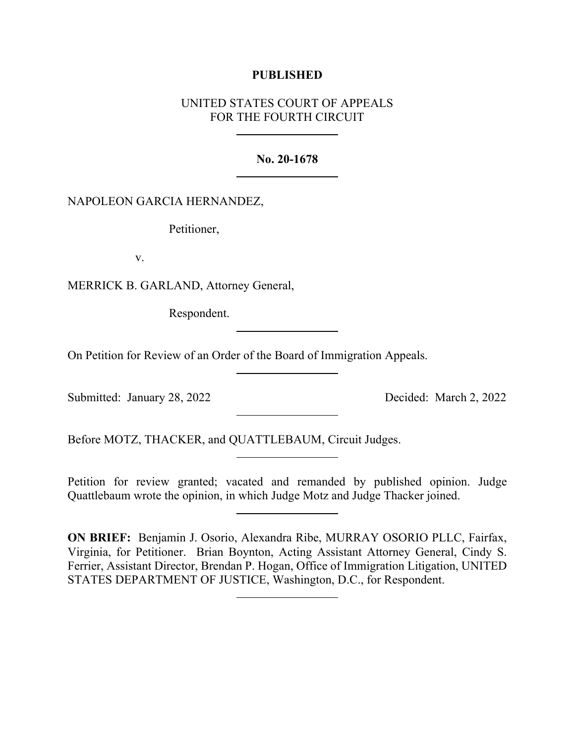## **PUBLISHED**

# UNITED STATES COURT OF APPEALS FOR THE FOURTH CIRCUIT

### **No. 20-1678**

## NAPOLEON GARCIA HERNANDEZ,

Petitioner,

v.

MERRICK B. GARLAND, Attorney General,

Respondent.

On Petition for Review of an Order of the Board of Immigration Appeals.

Submitted: January 28, 2022 Decided: March 2, 2022

Before MOTZ, THACKER, and QUATTLEBAUM, Circuit Judges.

Petition for review granted; vacated and remanded by published opinion. Judge Quattlebaum wrote the opinion, in which Judge Motz and Judge Thacker joined.

**ON BRIEF:** Benjamin J. Osorio, Alexandra Ribe, MURRAY OSORIO PLLC, Fairfax, Virginia, for Petitioner. Brian Boynton, Acting Assistant Attorney General, Cindy S. Ferrier, Assistant Director, Brendan P. Hogan, Office of Immigration Litigation, UNITED STATES DEPARTMENT OF JUSTICE, Washington, D.C., for Respondent.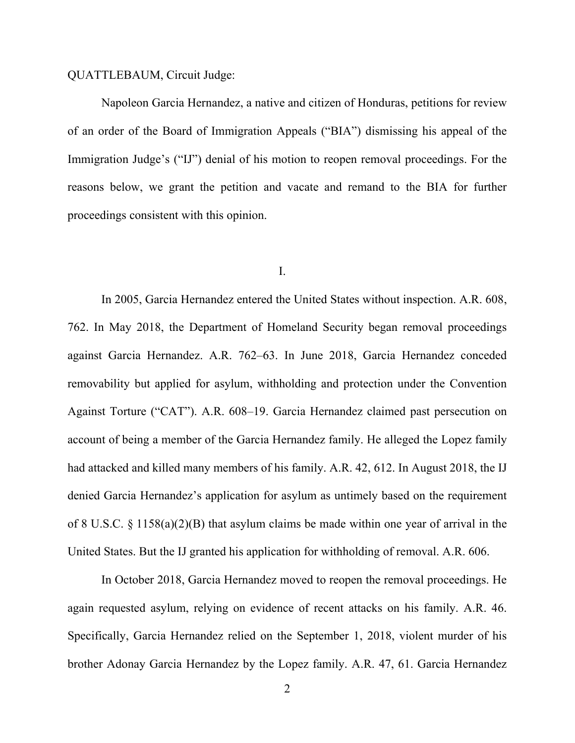#### QUATTLEBAUM, Circuit Judge:

Napoleon Garcia Hernandez, a native and citizen of Honduras, petitions for review of an order of the Board of Immigration Appeals ("BIA") dismissing his appeal of the Immigration Judge's ("IJ") denial of his motion to reopen removal proceedings. For the reasons below, we grant the petition and vacate and remand to the BIA for further proceedings consistent with this opinion.

#### I.

In 2005, Garcia Hernandez entered the United States without inspection. A.R. 608, 762. In May 2018, the Department of Homeland Security began removal proceedings against Garcia Hernandez. A.R. 762–63. In June 2018, Garcia Hernandez conceded removability but applied for asylum, withholding and protection under the Convention Against Torture ("CAT"). A.R. 608–19. Garcia Hernandez claimed past persecution on account of being a member of the Garcia Hernandez family. He alleged the Lopez family had attacked and killed many members of his family. A.R. 42, 612. In August 2018, the IJ denied Garcia Hernandez's application for asylum as untimely based on the requirement of 8 U.S.C. § 1158(a)(2)(B) that asylum claims be made within one year of arrival in the United States. But the IJ granted his application for withholding of removal. A.R. 606.

In October 2018, Garcia Hernandez moved to reopen the removal proceedings. He again requested asylum, relying on evidence of recent attacks on his family. A.R. 46. Specifically, Garcia Hernandez relied on the September 1, 2018, violent murder of his brother Adonay Garcia Hernandez by the Lopez family. A.R. 47, 61. Garcia Hernandez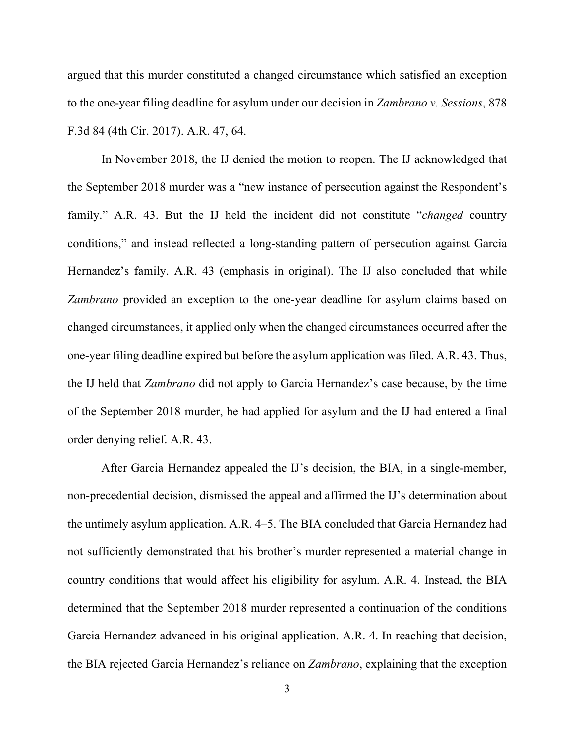argued that this murder constituted a changed circumstance which satisfied an exception to the one-year filing deadline for asylum under our decision in *Zambrano v. Sessions*, 878 F.3d 84 (4th Cir. 2017). A.R. 47, 64.

In November 2018, the IJ denied the motion to reopen. The IJ acknowledged that the September 2018 murder was a "new instance of persecution against the Respondent's family." A.R. 43. But the IJ held the incident did not constitute "*changed* country conditions," and instead reflected a long-standing pattern of persecution against Garcia Hernandez's family. A.R. 43 (emphasis in original). The IJ also concluded that while *Zambrano* provided an exception to the one-year deadline for asylum claims based on changed circumstances, it applied only when the changed circumstances occurred after the one-year filing deadline expired but before the asylum application was filed. A.R. 43. Thus, the IJ held that *Zambrano* did not apply to Garcia Hernandez's case because, by the time of the September 2018 murder, he had applied for asylum and the IJ had entered a final order denying relief. A.R. 43.

After Garcia Hernandez appealed the IJ's decision, the BIA, in a single-member, non-precedential decision, dismissed the appeal and affirmed the IJ's determination about the untimely asylum application. A.R. 4–5. The BIA concluded that Garcia Hernandez had not sufficiently demonstrated that his brother's murder represented a material change in country conditions that would affect his eligibility for asylum. A.R. 4. Instead, the BIA determined that the September 2018 murder represented a continuation of the conditions Garcia Hernandez advanced in his original application. A.R. 4. In reaching that decision, the BIA rejected Garcia Hernandez's reliance on *Zambrano*, explaining that the exception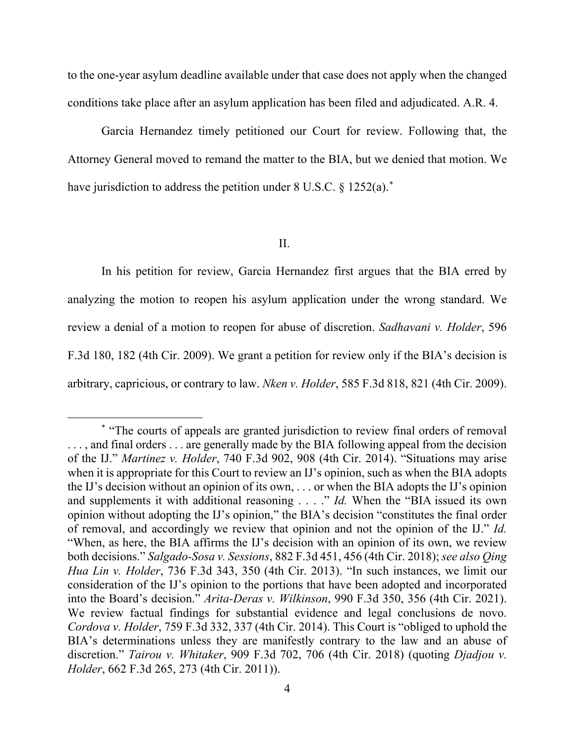to the one-year asylum deadline available under that case does not apply when the changed conditions take place after an asylum application has been filed and adjudicated. A.R. 4.

Garcia Hernandez timely petitioned our Court for review. Following that, the Attorney General moved to remand the matter to the BIA, but we denied that motion. We have jurisdiction to address the petition under 8 U.S.C. § 1252(a).<sup>[\\*](#page-3-0)</sup>

II.

In his petition for review, Garcia Hernandez first argues that the BIA erred by analyzing the motion to reopen his asylum application under the wrong standard. We review a denial of a motion to reopen for abuse of discretion. *Sadhavani v. Holder*, 596 F.3d 180, 182 (4th Cir. 2009). We grant a petition for review only if the BIA's decision is arbitrary, capricious, or contrary to law. *Nken v. Holder*, 585 F.3d 818, 821 (4th Cir. 2009).

<span id="page-3-0"></span><sup>\*</sup> "The courts of appeals are granted jurisdiction to review final orders of removal ..., and final orders ... are generally made by the BIA following appeal from the decision of the IJ." *Martinez v. Holder*, 740 F.3d 902, 908 (4th Cir. 2014). "Situations may arise when it is appropriate for this Court to review an IJ's opinion, such as when the BIA adopts the IJ's decision without an opinion of its own, . . . or when the BIA adopts the IJ's opinion and supplements it with additional reasoning . . . ." *Id.* When the "BIA issued its own opinion without adopting the IJ's opinion," the BIA's decision "constitutes the final order of removal, and accordingly we review that opinion and not the opinion of the IJ." *Id.* "When, as here, the BIA affirms the IJ's decision with an opinion of its own, we review both decisions." *Salgado-Sosa v. Sessions*, 882 F.3d 451, 456 (4th Cir. 2018); *see also Qing Hua Lin v. Holder*, 736 F.3d 343, 350 (4th Cir. 2013). "In such instances, we limit our consideration of the IJ's opinion to the portions that have been adopted and incorporated into the Board's decision." *Arita-Deras v. Wilkinson*, 990 F.3d 350, 356 (4th Cir. 2021). We review factual findings for substantial evidence and legal conclusions de novo. *Cordova v. Holder*, 759 F.3d 332, 337 (4th Cir. 2014). This Court is "obliged to uphold the BIA's determinations unless they are manifestly contrary to the law and an abuse of discretion." *Tairou v. Whitaker*, 909 F.3d 702, 706 (4th Cir. 2018) (quoting *Djadjou v. Holder*, 662 F.3d 265, 273 (4th Cir. 2011)).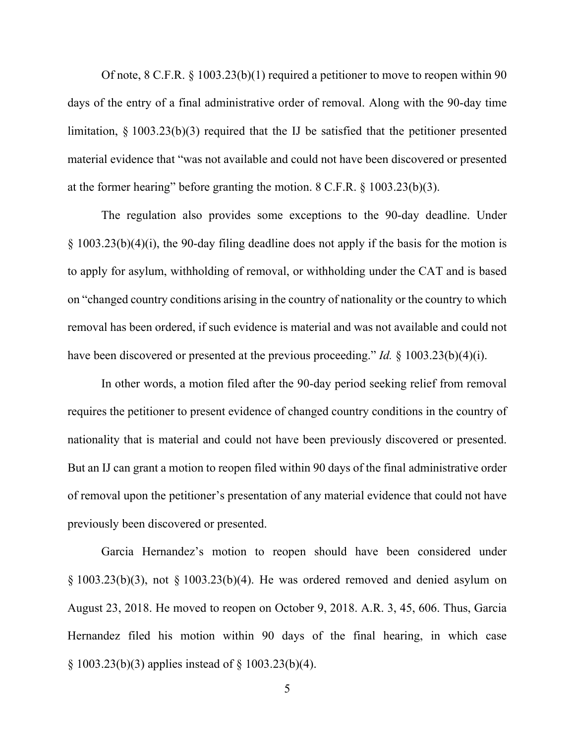Of note, 8 C.F.R. § 1003.23(b)(1) required a petitioner to move to reopen within 90 days of the entry of a final administrative order of removal. Along with the 90-day time limitation, § 1003.23(b)(3) required that the IJ be satisfied that the petitioner presented material evidence that "was not available and could not have been discovered or presented at the former hearing" before granting the motion. 8 C.F.R. § 1003.23(b)(3).

The regulation also provides some exceptions to the 90-day deadline. Under § 1003.23(b)(4)(i), the 90-day filing deadline does not apply if the basis for the motion is to apply for asylum, withholding of removal, or withholding under the CAT and is based on "changed country conditions arising in the country of nationality or the country to which removal has been ordered, if such evidence is material and was not available and could not have been discovered or presented at the previous proceeding." *Id.* § 1003.23(b)(4)(i).

In other words, a motion filed after the 90-day period seeking relief from removal requires the petitioner to present evidence of changed country conditions in the country of nationality that is material and could not have been previously discovered or presented. But an IJ can grant a motion to reopen filed within 90 days of the final administrative order of removal upon the petitioner's presentation of any material evidence that could not have previously been discovered or presented.

Garcia Hernandez's motion to reopen should have been considered under  $\S$  1003.23(b)(3), not  $\S$  1003.23(b)(4). He was ordered removed and denied asylum on August 23, 2018. He moved to reopen on October 9, 2018. A.R. 3, 45, 606. Thus, Garcia Hernandez filed his motion within 90 days of the final hearing, in which case § 1003.23(b)(3) applies instead of § 1003.23(b)(4).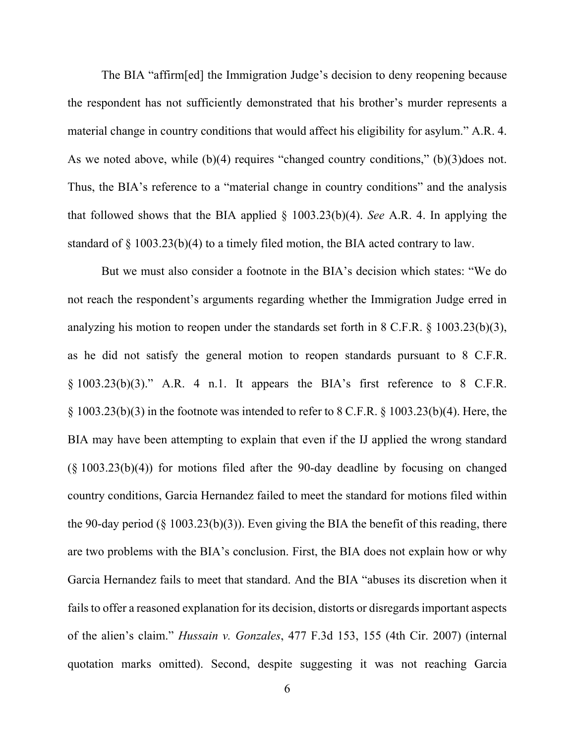The BIA "affirm[ed] the Immigration Judge's decision to deny reopening because the respondent has not sufficiently demonstrated that his brother's murder represents a material change in country conditions that would affect his eligibility for asylum." A.R. 4. As we noted above, while (b)(4) requires "changed country conditions," (b)(3)does not. Thus, the BIA's reference to a "material change in country conditions" and the analysis that followed shows that the BIA applied § 1003.23(b)(4). *See* A.R. 4. In applying the standard of § 1003.23(b)(4) to a timely filed motion, the BIA acted contrary to law.

But we must also consider a footnote in the BIA's decision which states: "We do not reach the respondent's arguments regarding whether the Immigration Judge erred in analyzing his motion to reopen under the standards set forth in 8 C.F.R. § 1003.23(b)(3), as he did not satisfy the general motion to reopen standards pursuant to 8 C.F.R. § 1003.23(b)(3)." A.R. 4 n.1. It appears the BIA's first reference to 8 C.F.R.  $\S$  1003.23(b)(3) in the footnote was intended to refer to 8 C.F.R.  $\S$  1003.23(b)(4). Here, the BIA may have been attempting to explain that even if the IJ applied the wrong standard (§ 1003.23(b)(4)) for motions filed after the 90-day deadline by focusing on changed country conditions, Garcia Hernandez failed to meet the standard for motions filed within the 90-day period (§ 1003.23(b)(3)). Even giving the BIA the benefit of this reading, there are two problems with the BIA's conclusion. First, the BIA does not explain how or why Garcia Hernandez fails to meet that standard. And the BIA "abuses its discretion when it fails to offer a reasoned explanation for its decision, distorts or disregards important aspects of the alien's claim." *Hussain v. Gonzales*, 477 F.3d 153, 155 (4th Cir. 2007) (internal quotation marks omitted). Second, despite suggesting it was not reaching Garcia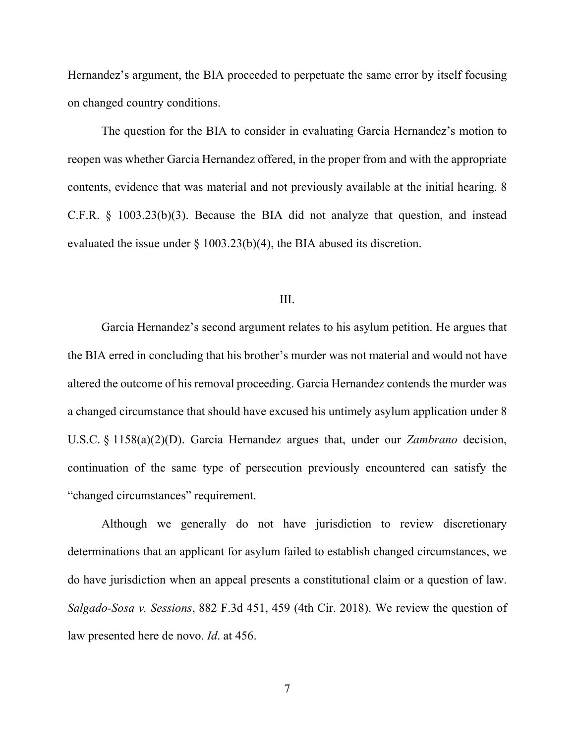Hernandez's argument, the BIA proceeded to perpetuate the same error by itself focusing on changed country conditions.

The question for the BIA to consider in evaluating Garcia Hernandez's motion to reopen was whether Garcia Hernandez offered, in the proper from and with the appropriate contents, evidence that was material and not previously available at the initial hearing. 8 C.F.R. § 1003.23(b)(3). Because the BIA did not analyze that question, and instead evaluated the issue under § 1003.23(b)(4), the BIA abused its discretion.

### III.

Garcia Hernandez's second argument relates to his asylum petition. He argues that the BIA erred in concluding that his brother's murder was not material and would not have altered the outcome of his removal proceeding. Garcia Hernandez contends the murder was a changed circumstance that should have excused his untimely asylum application under 8 U.S.C. § 1158(a)(2)(D). Garcia Hernandez argues that, under our *Zambrano* decision, continuation of the same type of persecution previously encountered can satisfy the "changed circumstances" requirement.

Although we generally do not have jurisdiction to review discretionary determinations that an applicant for asylum failed to establish changed circumstances, we do have jurisdiction when an appeal presents a constitutional claim or a question of law. *Salgado-Sosa v. Sessions*, 882 F.3d 451, 459 (4th Cir. 2018). We review the question of law presented here de novo. *Id*. at 456.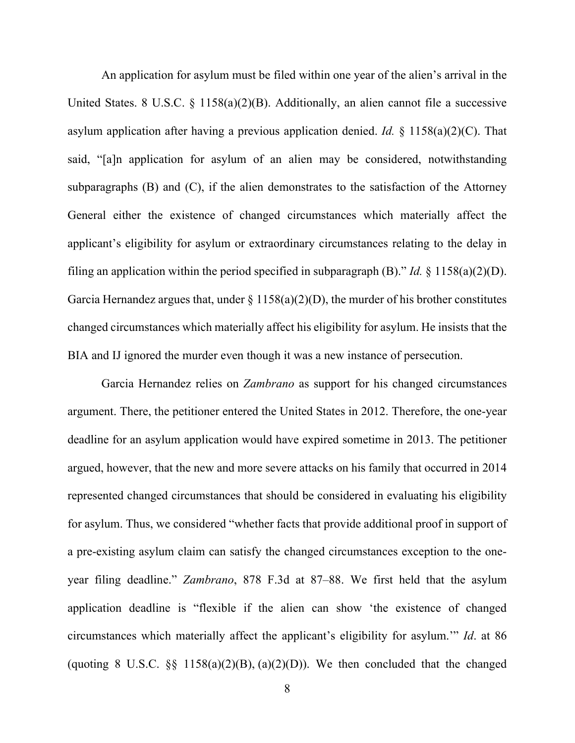An application for asylum must be filed within one year of the alien's arrival in the United States. 8 U.S.C. § 1158(a)(2)(B). Additionally, an alien cannot file a successive asylum application after having a previous application denied. *Id.* § 1158(a)(2)(C). That said, "[a]n application for asylum of an alien may be considered, notwithstanding subparagraphs (B) and (C), if the alien demonstrates to the satisfaction of the Attorney General either the existence of changed circumstances which materially affect the applicant's eligibility for asylum or extraordinary circumstances relating to the delay in filing an application within the period specified in subparagraph (B)." *Id.* § 1158(a)(2)(D). Garcia Hernandez argues that, under  $\S 1158(a)(2)(D)$ , the murder of his brother constitutes changed circumstances which materially affect his eligibility for asylum. He insists that the BIA and IJ ignored the murder even though it was a new instance of persecution.

Garcia Hernandez relies on *Zambrano* as support for his changed circumstances argument. There, the petitioner entered the United States in 2012. Therefore, the one-year deadline for an asylum application would have expired sometime in 2013. The petitioner argued, however, that the new and more severe attacks on his family that occurred in 2014 represented changed circumstances that should be considered in evaluating his eligibility for asylum. Thus, we considered "whether facts that provide additional proof in support of a pre-existing asylum claim can satisfy the changed circumstances exception to the oneyear filing deadline." *Zambrano*, 878 F.3d at 87–88. We first held that the asylum application deadline is "flexible if the alien can show 'the existence of changed circumstances which materially affect the applicant's eligibility for asylum.'" *Id*. at 86 (quoting 8 U.S.C.  $\S$  1158(a)(2)(B), (a)(2)(D)). We then concluded that the changed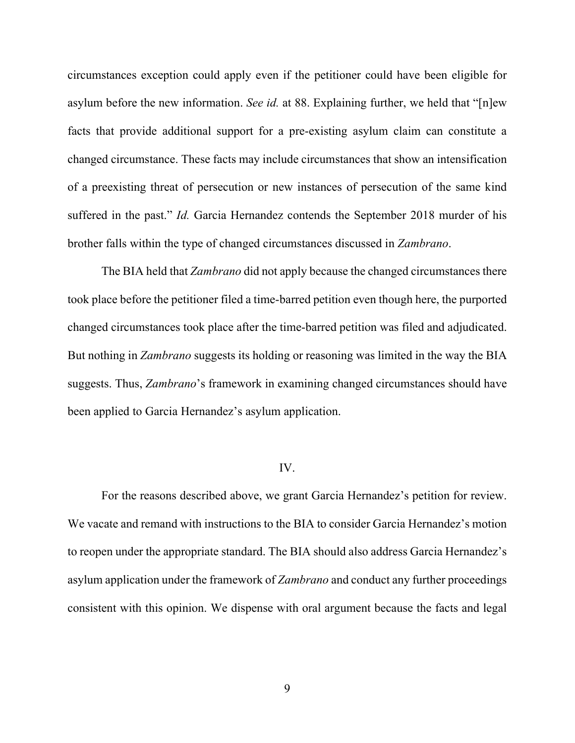circumstances exception could apply even if the petitioner could have been eligible for asylum before the new information. *See id.* at 88. Explaining further, we held that "[n]ew facts that provide additional support for a pre-existing asylum claim can constitute a changed circumstance. These facts may include circumstances that show an intensification of a preexisting threat of persecution or new instances of persecution of the same kind suffered in the past." *Id.* Garcia Hernandez contends the September 2018 murder of his brother falls within the type of changed circumstances discussed in *Zambrano*.

The BIA held that *Zambrano* did not apply because the changed circumstances there took place before the petitioner filed a time-barred petition even though here, the purported changed circumstances took place after the time-barred petition was filed and adjudicated. But nothing in *Zambrano* suggests its holding or reasoning was limited in the way the BIA suggests. Thus, *Zambrano*'s framework in examining changed circumstances should have been applied to Garcia Hernandez's asylum application.

#### IV.

For the reasons described above, we grant Garcia Hernandez's petition for review. We vacate and remand with instructions to the BIA to consider Garcia Hernandez's motion to reopen under the appropriate standard. The BIA should also address Garcia Hernandez's asylum application under the framework of *Zambrano* and conduct any further proceedings consistent with this opinion. We dispense with oral argument because the facts and legal